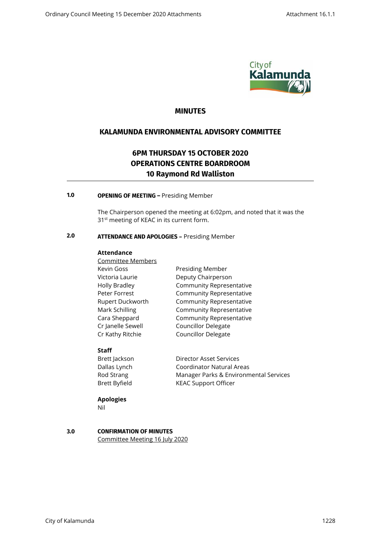

# **MINUTES**

# **KALAMUNDA ENVIRONMENTAL ADVISORY COMMITTEE**

# **6PM THURSDAY 15 OCTOBER 2020 OPERATIONS CENTRE BOARDROOM 10 Raymond Rd Walliston**

# **1.0 OPENING OF MEETING –** Presiding Member

The Chairperson opened the meeting at 6:02pm, and noted that it was the 31<sup>st</sup> meeting of KEAC in its current form.

# **2.0 ATTENDANCE AND APOLOGIES –** Presiding Member

#### **Attendance**

Committee Members Kevin Goss **Presiding Member** Victoria Laurie Deputy Chairperson Cr Janelle Sewell Councillor Delegate Cr Kathy Ritchie Councillor Delegate

Holly Bradley Community Representative Peter Forrest **Community Representative** Rupert Duckworth Community Representative Mark Schilling Community Representative Cara Sheppard Community Representative

# **Staff**

| Director Asset Services                |
|----------------------------------------|
| Coordinator Natural Areas              |
| Manager Parks & Environmental Services |
| <b>KEAC Support Officer</b>            |
|                                        |

# **Apologies**

Nil

# **3.0 CONFIRMATION OF MINUTES**

Committee Meeting 16 July 2020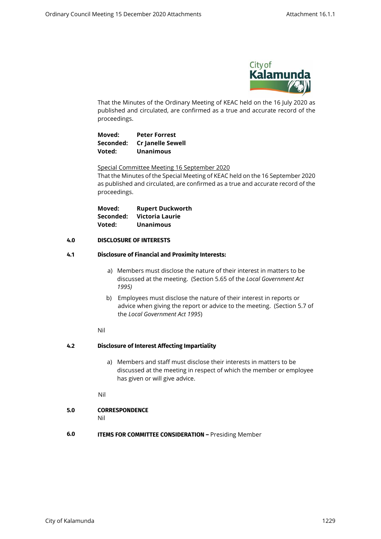

That the Minutes of the Ordinary Meeting of KEAC held on the 16 July 2020 as published and circulated, are confirmed as a true and accurate record of the proceedings.

**Moved: Peter Forrest Seconded: Cr Janelle Sewell Voted: Unanimous** 

Special Committee Meeting 16 September 2020

That the Minutes of the Special Meeting of KEAC held on the 16 September 2020 as published and circulated, are confirmed as a true and accurate record of the proceedings.

| Moved:    | <b>Rupert Duckworth</b> |
|-----------|-------------------------|
| Seconded: | Victoria Laurie         |
| Voted:    | <b>Unanimous</b>        |

#### **4.0 DISCLOSURE OF INTERESTS**

#### **4.1 Disclosure of Financial and Proximity Interests:**

- a) Members must disclose the nature of their interest in matters to be discussed at the meeting. (Section 5.65 of the *Local Government Act 1995)*
- b) Employees must disclose the nature of their interest in reports or advice when giving the report or advice to the meeting. (Section 5.7 of the *Local Government Act 1995*)

Nil

# **4.2 Disclosure of Interest Affecting Impartiality**

- a) Members and staff must disclose their interests in matters to be discussed at the meeting in respect of which the member or employee has given or will give advice.
- Nil

# **5.0 CORRESPONDENCE**

Nil

**6.0 ITEMS FOR COMMITTEE CONSIDERATION - Presiding Member**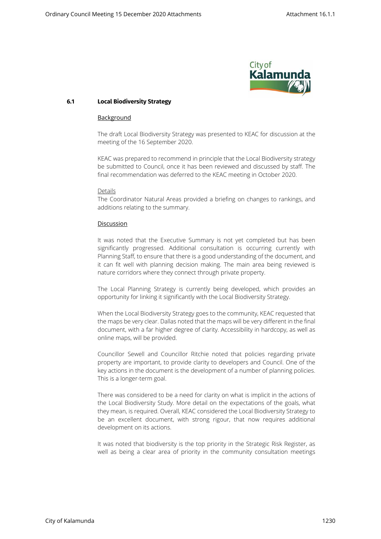

#### **6.1 Local Biodiversity Strategy**

#### Background

The draft Local Biodiversity Strategy was presented to KEAC for discussion at the meeting of the 16 September 2020.

KEAC was prepared to recommend in principle that the Local Biodiversity strategy be submitted to Council, once it has been reviewed and discussed by staff. The final recommendation was deferred to the KEAC meeting in October 2020.

#### Details

The Coordinator Natural Areas provided a briefing on changes to rankings, and additions relating to the summary.

#### Discussion

It was noted that the Executive Summary is not yet completed but has been significantly progressed. Additional consultation is occurring currently with Planning Staff, to ensure that there is a good understanding of the document, and it can fit well with planning decision making. The main area being reviewed is nature corridors where they connect through private property.

The Local Planning Strategy is currently being developed, which provides an opportunity for linking it significantly with the Local Biodiversity Strategy.

When the Local Biodiversity Strategy goes to the community, KEAC requested that the maps be very clear. Dallas noted that the maps will be very different in the final document, with a far higher degree of clarity. Accessibility in hardcopy, as well as online maps, will be provided.

Councillor Sewell and Councillor Ritchie noted that policies regarding private property are important, to provide clarity to developers and Council. One of the key actions in the document is the development of a number of planning policies. This is a longer-term goal.

There was considered to be a need for clarity on what is implicit in the actions of the Local Biodiversity Study. More detail on the expectations of the goals, what they mean, is required. Overall, KEAC considered the Local Biodiversity Strategy to be an excellent document, with strong rigour, that now requires additional development on its actions.

It was noted that biodiversity is the top priority in the Strategic Risk Register, as well as being a clear area of priority in the community consultation meetings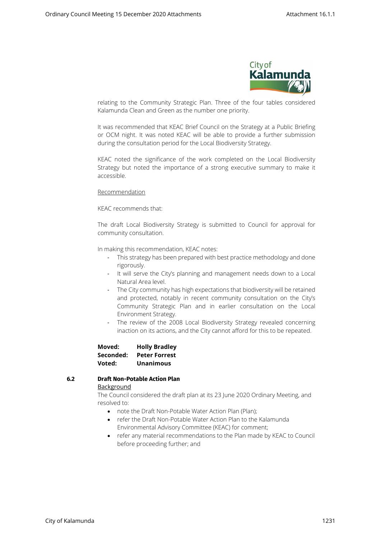

relating to the Community Strategic Plan. Three of the four tables considered Kalamunda Clean and Green as the number one priority.

It was recommended that KEAC Brief Council on the Strategy at a Public Briefing or OCM night. It was noted KEAC will be able to provide a further submission during the consultation period for the Local Biodiversity Strategy.

KEAC noted the significance of the work completed on the Local Biodiversity Strategy but noted the importance of a strong executive summary to make it accessible.

#### Recommendation

KEAC recommends that:

The draft Local Biodiversity Strategy is submitted to Council for approval for community consultation.

In making this recommendation, KEAC notes:

- This strategy has been prepared with best practice methodology and done rigorously.
- It will serve the City's planning and management needs down to a Local Natural Area level.
- The City community has high expectations that biodiversity will be retained and protected, notably in recent community consultation on the City's Community Strategic Plan and in earlier consultation on the Local Environment Strategy.
- The review of the 2008 Local Biodiversity Strategy revealed concerning inaction on its actions, and the City cannot afford for this to be repeated.

**Moved: Holly Bradley Seconded: Peter Forrest Voted: Unanimous** 

#### **6.2 Draft Non-Potable Action Plan**  Background

The Council considered the draft plan at its 23 June 2020 Ordinary Meeting, and resolved to:

- note the Draft Non-Potable Water Action Plan (Plan):
- refer the Draft Non-Potable Water Action Plan to the Kalamunda Environmental Advisory Committee (KEAC) for comment;
- refer any material recommendations to the Plan made by KEAC to Council before proceeding further; and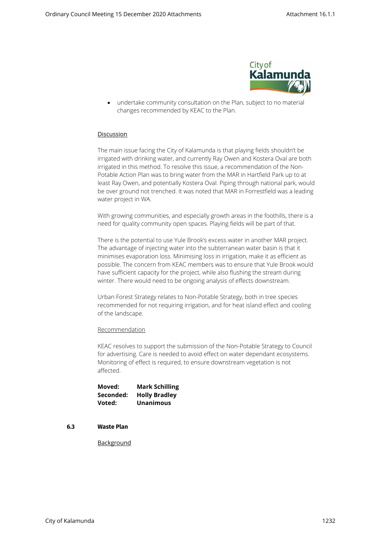

 undertake community consultation on the Plan, subject to no material changes recommended by KEAC to the Plan.

#### **Discussion**

The main issue facing the City of Kalamunda is that playing fields shouldn't be irrigated with drinking water, and currently Ray Owen and Kostera Oval are both irrigated in this method. To resolve this issue, a recommendation of the Non-Potable Action Plan was to bring water from the MAR in Hartfield Park up to at least Ray Owen, and potentially Kostera Oval. Piping through national park, would be over ground not trenched. It was noted that MAR in Forrestfield was a leading water project in WA.

With growing communities, and especially growth areas in the foothills, there is a need for quality community open spaces. Playing fields will be part of that.

There is the potential to use Yule Brook's excess water in another MAR project. The advantage of injecting water into the subterranean water basin is that it minimises evaporation loss. Minimising loss in irrigation, make it as efficient as possible. The concern from KEAC members was to ensure that Yule Brook would have sufficient capacity for the project, while also flushing the stream during winter. There would need to be ongoing analysis of effects downstream.

Urban Forest Strategy relates to Non-Potable Strategy, both in tree species recommended for not requiring irrigation, and for heat island effect and cooling of the landscape.

Recommendation

KEAC resolves to support the submission of the Non-Potable Strategy to Council for advertising. Care is needed to avoid effect on water dependant ecosystems. Monitoring of effect is required, to ensure downstream vegetation is not affected.

| Moved:    | <b>Mark Schilling</b> |
|-----------|-----------------------|
| Seconded: | <b>Holly Bradley</b>  |
| Voted:    | <b>Unanimous</b>      |

#### **6.3 Waste Plan**

**Background**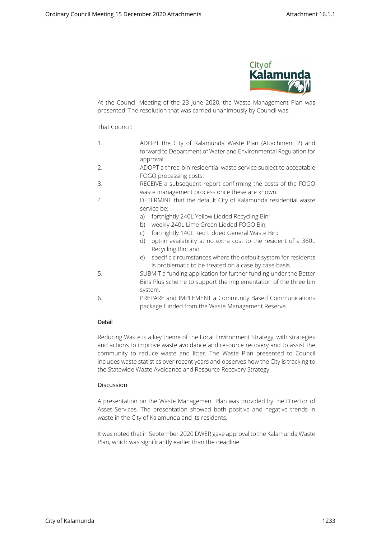

At the Council Meeting of the 23 June 2020, the Waste Management Plan was presented. The resolution that was carried unanimously by Council was:

#### That Council:

- 1. ADOPT the City of Kalamunda Waste Plan (Attachment 2) and forward to Department of Water and Environmental Regulation for approval.
- 2. ADOPT a three-bin residential waste service subject to acceptable FOGO processing costs.
- 3. RECEIVE a subsequent report confirming the costs of the FOGO waste management process once these are known.
- 4. DETERMINE that the default City of Kalamunda residential waste service be:
	- a) fortnightly 240L Yellow Lidded Recycling Bin;
	- b) weekly 240L Lime Green Lidded FOGO Bin;
	- c) fortnightly 140L Red Lidded General Waste Bin;
	- d) opt-in availability at no extra cost to the resident of a 360L Recycling Bin; and
	- e) specific circumstances where the default system for residents is problematic to be treated on a case by case basis.
- 5. SUBMIT a funding application for further funding under the Better Bins Plus scheme to support the implementation of the three bin system.
- 6. PREPARE and IMPLEMENT a Community Based Communications package funded from the Waste Management Reserve.

# Detail

Reducing Waste is a key theme of the Local Environment Strategy, with strategies and actions to improve waste avoidance and resource recovery and to assist the community to reduce waste and litter. The Waste Plan presented to Council includes waste statistics over recent years and observes how the City is tracking to the Statewide Waste Avoidance and Resource Recovery Strategy.

#### Discussion

A presentation on the Waste Management Plan was provided by the Director of Asset Services. The presentation showed both positive and negative trends in waste in the City of Kalamunda and its residents.

It was noted that in September 2020 DWER gave approval to the Kalamunda Waste Plan, which was significantly earlier than the deadline.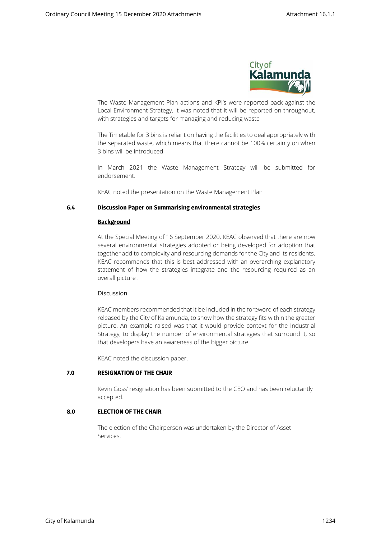

The Waste Management Plan actions and KPI's were reported back against the Local Environment Strategy. It was noted that it will be reported on throughout, with strategies and targets for managing and reducing waste

The Timetable for 3 bins is reliant on having the facilities to deal appropriately with the separated waste, which means that there cannot be 100% certainty on when 3 bins will be introduced.

In March 2021 the Waste Management Strategy will be submitted for endorsement.

KEAC noted the presentation on the Waste Management Plan

#### **6.4 Discussion Paper on Summarising environmental strategies**

#### **Background**

At the Special Meeting of 16 September 2020, KEAC observed that there are now several environmental strategies adopted or being developed for adoption that together add to complexity and resourcing demands for the City and its residents. KEAC recommends that this is best addressed with an overarching explanatory statement of how the strategies integrate and the resourcing required as an overall picture .

#### Discussion

KEAC members recommended that it be included in the foreword of each strategy released by the City of Kalamunda, to show how the strategy fits within the greater picture. An example raised was that it would provide context for the Industrial Strategy, to display the number of environmental strategies that surround it, so that developers have an awareness of the bigger picture.

KEAC noted the discussion paper.

#### **7.0 RESIGNATION OF THE CHAIR**

Kevin Goss' resignation has been submitted to the CEO and has been reluctantly accepted.

# **8.0 ELECTION OF THE CHAIR**

The election of the Chairperson was undertaken by the Director of Asset Services.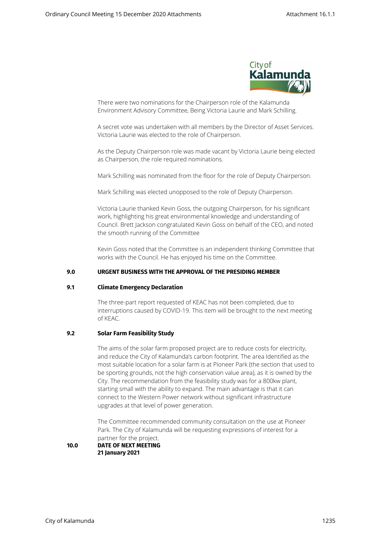

There were two nominations for the Chairperson role of the Kalamunda Environment Advisory Committee, Being Victoria Laurie and Mark Schilling.

A secret vote was undertaken with all members by the Director of Asset Services. Victoria Laurie was elected to the role of Chairperson.

As the Deputy Chairperson role was made vacant by Victoria Laurie being elected as Chairperson, the role required nominations.

Mark Schilling was nominated from the floor for the role of Deputy Chairperson.

Mark Schilling was elected unopposed to the role of Deputy Chairperson.

Victoria Laurie thanked Kevin Goss, the outgoing Chairperson, for his significant work, highlighting his great environmental knowledge and understanding of Council. Brett Jackson congratulated Kevin Goss on behalf of the CEO, and noted the smooth running of the Committee

Kevin Goss noted that the Committee is an independent thinking Committee that works with the Council. He has enjoyed his time on the Committee.

### **9.0 URGENT BUSINESS WITH THE APPROVAL OF THE PRESIDING MEMBER**

#### **9.1 Climate Emergency Declaration**

The three-part report requested of KEAC has not been completed, due to interruptions caused by COVID-19. This item will be brought to the next meeting of KEAC.

#### **9.2 Solar Farm Feasibility Study**

The aims of the solar farm proposed project are to reduce costs for electricity, and reduce the City of Kalamunda's carbon footprint. The area Identified as the most suitable location for a solar farm is at Pioneer Park (the section that used to be sporting grounds, not the high conservation value area), as it is owned by the City. The recommendation from the feasibility study was for a 800kw plant, starting small with the ability to expand. The main advantage is that it can connect to the Western Power network without significant infrastructure upgrades at that level of power generation.

The Committee recommended community consultation on the use at Pioneer Park. The City of Kalamunda will be requesting expressions of interest for a partner for the project.

#### **10.0 DATE OF NEXT MEETING 21 January 2021**